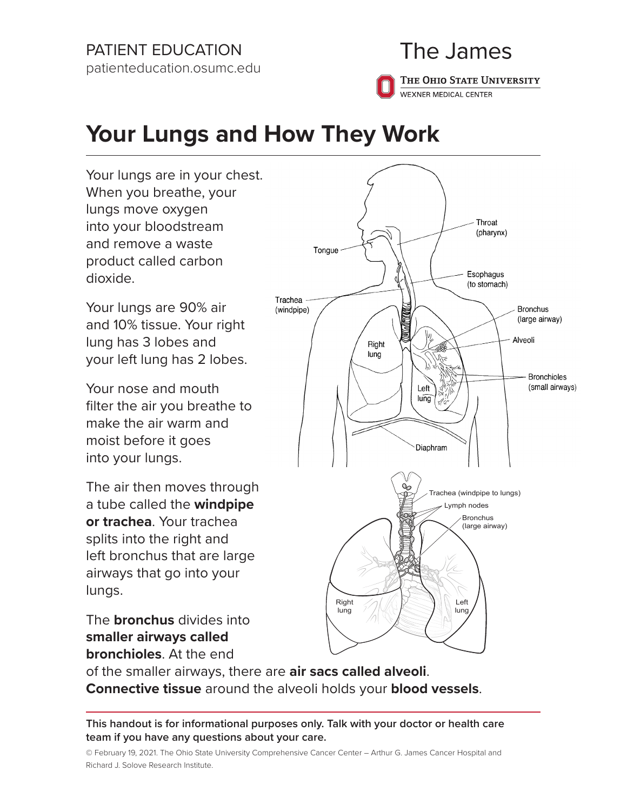### PATIENT EDUCATION patienteducation.osumc.edu

## The James

THE OHIO STATE UNIVERSITY WEXNER MEDICAL CENTER

# **Your Lungs and How They Work**

Your lungs are in your chest. When you breathe, your lungs move oxygen into your bloodstream and remove a waste product called carbon dioxide.

Your lungs are 90% air and 10% tissue. Your right lung has 3 lobes and your left lung has 2 lobes.

Your nose and mouth filter the air you breathe to make the air warm and moist before it goes into your lungs.

The air then moves through a tube called the **windpipe or trachea**. Your trachea splits into the right and left bronchus that are large airways that go into your lungs.

The **bronchus** divides into **smaller airways called bronchioles**. At the end



of the smaller airways, there are **air sacs called alveoli**. **Connective tissue** around the alveoli holds your **blood vessels**.

**This handout is for informational purposes only. Talk with your doctor or health care team if you have any questions about your care.**

© February 19, 2021. The Ohio State University Comprehensive Cancer Center – Arthur G. James Cancer Hospital and Richard J. Solove Research Institute.